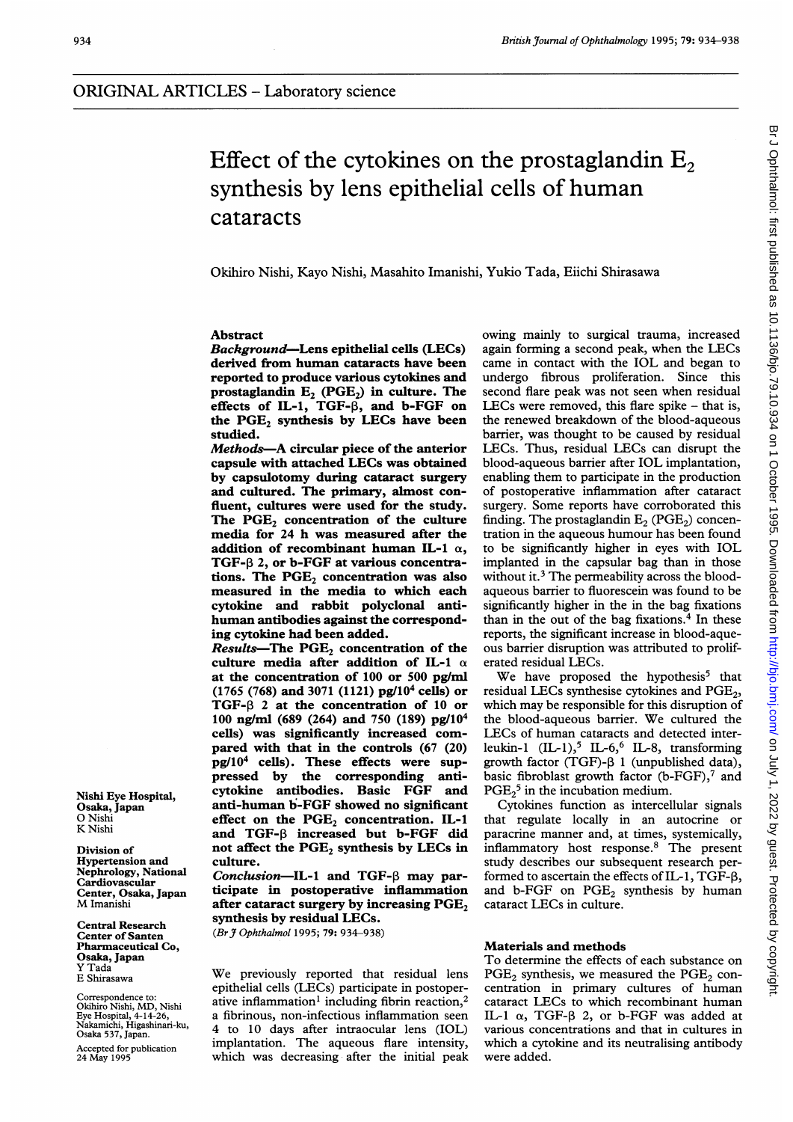# Effect of the cytokines on the prostaglandin  $E<sub>2</sub>$ synthesis by lens epithelial cells of human cataracts

Okihiro Nishi, Kayo Nishi, Masahito Imanishi, Yukio Tada, Eiichi Shirasawa

## Abstract

Background-Lens epithelial cells (LECs) derived from human cataracts have been reported to produce various cytokines and prostaglandin  $E_2$  (PGE<sub>2</sub>) in culture. The effects of IL-1, TGF- $\beta$ , and b-FGF on the PGE<sub>2</sub> synthesis by LECs have been studied.

Methods-A circular piece of the anterior capsule with attached LECs was obtained by capsulotomy during cataract surgery and cultured. The primary, almost confluent, cultures were used for the study. The  $PGE_2$  concentration of the culture media for 24 h was measured after the addition of recombinant human IL-1  $\alpha$ , TGF- $\beta$  2, or b-FGF at various concentrations. The  $PGE<sub>2</sub>$  concentration was also measured in the media to which each cytokine and rabbit polyclonal antihuman antibodies against the corresponding cytokine had been added.

Results-The  $PGE_2$  concentration of the culture media after addition of IL-1  $\alpha$ at the concentration of 100 or 500 pg/ml (1765 (768) and 3071 (1121) pg/104 cells) or TGF- $\beta$  2 at the concentration of 10 or 100 ng/ml (689 (264) and 750 (189) pg/104 cells) was significantly increased compared with that in the controls (67 (20) pg/104 cells). These effects were suppressed by the corresponding anticytokine antibodies. Basic FGF and anti-human b-FGF showed no significant effect on the  $PGE_2$  concentration. IL-1 and TGF-3 increased but b-FGF did not affect the  $PGE_2$  synthesis by LECs in culture.

Conclusion-IL-1 and TGF- $\beta$  may participate in postoperative inflammation after cataract surgery by increasing  $PGE<sub>2</sub>$ synthesis by residual LECs.

(Br J Ophthalmol 1995; 79: 934-938)

We previously reported that residual lens epithelial cells (LECs) participate in postoperative inflammation<sup>1</sup> including fibrin reaction,<sup>2</sup> a fibrinous, non-infectious inflammation seen 4 to 10 days after intraocular lens (IOL) implantation. The aqueous flare intensity, which was decreasing after the initial peak

owing mainly to surgical trauma, increased again forming <sup>a</sup> second peak, when the LECs came in contact with the IOL and began to undergo fibrous proliferation. Since this second flare peak was not seen when residual LECs were removed, this flare spike  $-$  that is, the renewed breakdown of the blood-aqueous barrier, was thought to be caused by residual LECs. Thus, residual LECs can disrupt the blood-aqueous barrier after IOL implantation, enabling them to participate in the production of postoperative inflammation after cataract surgery. Some reports have corroborated this finding. The prostaglandin  $E_2$  (PGE<sub>2</sub>) concentration in the aqueous humour has been found to be significantly higher in eyes with IOL implanted in the capsular bag than in those without it.<sup>3</sup> The permeability across the bloodaqueous barrier to fluorescein was found to be significantly higher in the in the bag fixations than in the out of the bag fixations.<sup>4</sup> In these reports, the significant increase in blood-aqueous barrier disruption was attributed to proliferated residual LECs.

We have proposed the hypothesis<sup>5</sup> that residual LECs synthesise cytokines and PGE<sub>2</sub>, which may be responsible for this disruption of the blood-aqueous barrier. We cultured the LECs of human cataracts and detected interleukin-1  $(IL-1)$ ,  $IL-6$ ,  $IL-8$ , transforming growth factor (TGF)- $\beta$  1 (unpublished data), basic fibroblast growth factor (b-FGF), $7$  and  $PGE<sub>2</sub><sup>5</sup>$  in the incubation medium.

Cytokines function as intercellular signals that regulate locally in an autocrine or paracrine manner and, at times, systemically, inflammatory host response.8 The present study describes our subsequent research performed to ascertain the effects of IL-1, TGF- $\beta$ , and b-FGF on  $PGE_2$  synthesis by human cataract LECs in culture.

#### Materials and methods

To determine the effects of each substance on  $PGE<sub>2</sub>$  synthesis, we measured the  $PGE<sub>2</sub>$  concentration in primary cultures of human cataract LECs to which recombinant human IL-1  $\alpha$ , TGF- $\beta$  2, or b-FGF was added at various concentrations and that in cultures in which a cytokine and its neutralising antibody were added.

Nishi Eye Hospital, Osaka, Japan O Nishi K Nishi

Division of Hypertension and Nephrology, National Cardiovascular Center, Osaka, Japan M Imanishi

Central Research Center of Santen Pharmaceutical Co, Osaka, Japan Y Tada E Shirasawa

Correspondence to: Okihiro Nishi, MD, Nishi Eye Hospital, 4-14-26, Nakamichi, Higashinari-ku, Osaka 537, Japan.

Accepted for publication 24 May 1995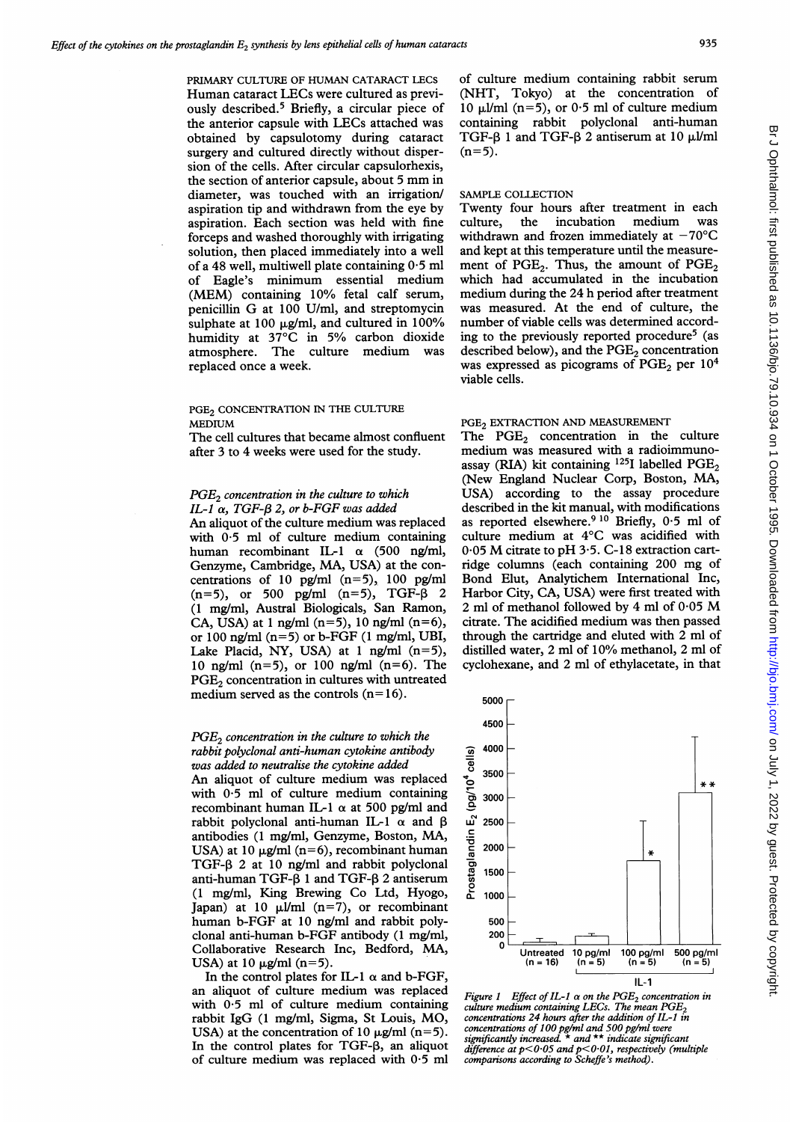PRIMARY CULTURE OF HUMAN CATARACT LECS Human cataract LECs were cultured as previously described.5 Briefly, a circular piece of the anterior capsule with LECs attached was obtained by capsulotomy during cataract surgery and cultured directly without dispersion of the cells. After circular capsulorhexis, the section of anterior capsule, about <sup>5</sup> mm in diameter, was touched with an irrigation/ aspiration tip and withdrawn from the eye by aspiration. Each section was held with fine forceps and washed thoroughly with irrigating solution, then placed immediately into a well of a 48 well, multiwell plate containing  $0.5$  ml of Eagle's minimum essential medium (MEM) containing 10% fetal calf serum, penicillin G at <sup>100</sup> U/ml, and streptomycin sulphate at 100  $\mu$ g/ml, and cultured in 100% humidity at  $37^{\circ}$ C in 5% carbon dioxide atmosphere. The culture medium was replaced once a week.

# PGE<sub>2</sub> CONCENTRATION IN THE CULTURE MEDIUM

The cell cultures that became almost confluent after 3 to 4 weeks were used for the study.

## $PGE<sub>2</sub>$  concentration in the culture to which IL-1  $\alpha$ , TGF- $\beta$  2, or b-FGF was added

An aliquot of the culture medium was replaced with 0-5 ml of culture medium containing human recombinant IL-1  $\alpha$  (500 ng/ml, Genzyme, Cambridge, MA, USA) at the concentrations of 10 pg/ml  $(n=5)$ , 100 pg/ml  $(n=5)$ , or 500 pg/ml  $(n=5)$ , TGF- $\beta$  2 (1 mg/ml, Austral Biologicals, San Ramon, CA, USA) at 1 ng/ml (n=5), 10 ng/ml (n=6), or 100 ng/ml  $(n=5)$  or b-FGF  $(1 \text{ mg/ml}, \text{UBI},$ Lake Placid, NY, USA) at <sup>1</sup> ng/ml (n=5), 10 ng/ml (n=5), or 100 ng/ml (n=6). The PGE<sub>2</sub> concentration in cultures with untreated medium served as the controls  $(n=16)$ .

# $PGE<sub>2</sub>$  concentration in the culture to which the rabbit polyclonal anti-human cytokine antibody was added to neutralise the cytokine added

An aliquot of culture medium was replaced with 0.5 ml of culture medium containing recombinant human IL-1  $\alpha$  at 500 pg/ml and rabbit polyclonal anti-human IL-1  $\alpha$  and  $\beta$ antibodies (1 mg/ml, Genzyme, Boston, MA, USA) at 10  $\mu$ g/ml (n=6), recombinant human TGF- $\beta$  2 at 10 ng/ml and rabbit polyclonal anti-human TGF- $\beta$  1 and TGF- $\beta$  2 antiserum (1 mg/ml, King Brewing Co Ltd, Hyogo, Japan) at 10  $\mu$ I/ml (n=7), or recombinant human b-FGF at 10 ng/ml and rabbit polyclonal anti-human b-FGF antibody (1 mg/ml, Collaborative Research Inc, Bedford, MA, USA) at 10  $\mu$ g/ml (n=5).

In the control plates for IL-1  $\alpha$  and b-FGF, an aliquot of culture medium was replaced with 0.5 ml of culture medium containing rabbit IgG (1 mg/ml, Sigma, St Louis, MO, USA) at the concentration of 10  $\mu$ g/ml (n=5). In the control plates for  $TGF- $\beta$ , an aliquot$ of culture medium was replaced with  $0.5$  ml

of culture medium containing rabbit serum (NHT, Tokyo) at the concentration of 10  $\mu$ l/ml (n=5), or 0.5 ml of culture medium containing rabbit polyclonal anti-human TGF- $\beta$  1 and TGF- $\beta$  2 antiserum at 10  $\mu$ I/ml  $(n=5)$ .

#### SAMPLE COLLECTION

Twenty four hours after treatment in each<br>culture, the incubation medium was culture, the incubation withdrawn and frozen immediately at  $-70^{\circ}$ C and kept at this temperature until the measurement of PGE<sub>2</sub>. Thus, the amount of  $PGE_2$ which had accumulated in the incubation medium during the 24 h period after treatment was measured. At the end of culture, the number of viable cells was determined according to the previously reported procedure<sup>5</sup> (as described below), and the  $PGE<sub>2</sub>$  concentration was expressed as picograms of  $PGE<sub>2</sub>$  per  $10<sup>4</sup>$ viable cells.

#### PGE<sub>2</sub> EXTRACTION AND MEASUREMENT

The  $PGE_2$  concentration in the culture medium was measured with <sup>a</sup> radioimmunoassay (RIA) kit containing  $^{125}$ I labelled PGE<sub>2</sub> (New England Nuclear Corp, Boston, MA, USA) according to the assay procedure described in the kit manual, with modifications as reported elsewhere.<sup>9 10</sup> Briefly, 0.5 ml of culture medium at 4°C was acidified with 0.05 M citrate to pH 3.5. C-18 extraction cartridge columns (each containing 200 mg of Bond Elut, Analytichem International Inc, Harbor City, CA, USA) were first treated with <sup>2</sup> ml of methanol followed by <sup>4</sup> ml of 0-05 M citrate. The acidified medium was then passed through the cartridge and eluted with 2 ml of distilled water, 2 ml of 10% methanol, 2 ml of cyclohexane, and 2 ml of ethylacetate, in that



Figure 1 Effect of IL-1  $\alpha$  on the PGE<sub>2</sub> concentration in  $\alpha$  culture medium containing LECs. The mean  $PGE_2$ concentrations 24 hours after the addition of IL-I in concentrations of 100 pg/ml and 500 pg/ml were significantly increased. \* and \*\* indicate significant difference at p<0.05 and p<0.01, respectively (multiple comparisons according to Scheffe's method).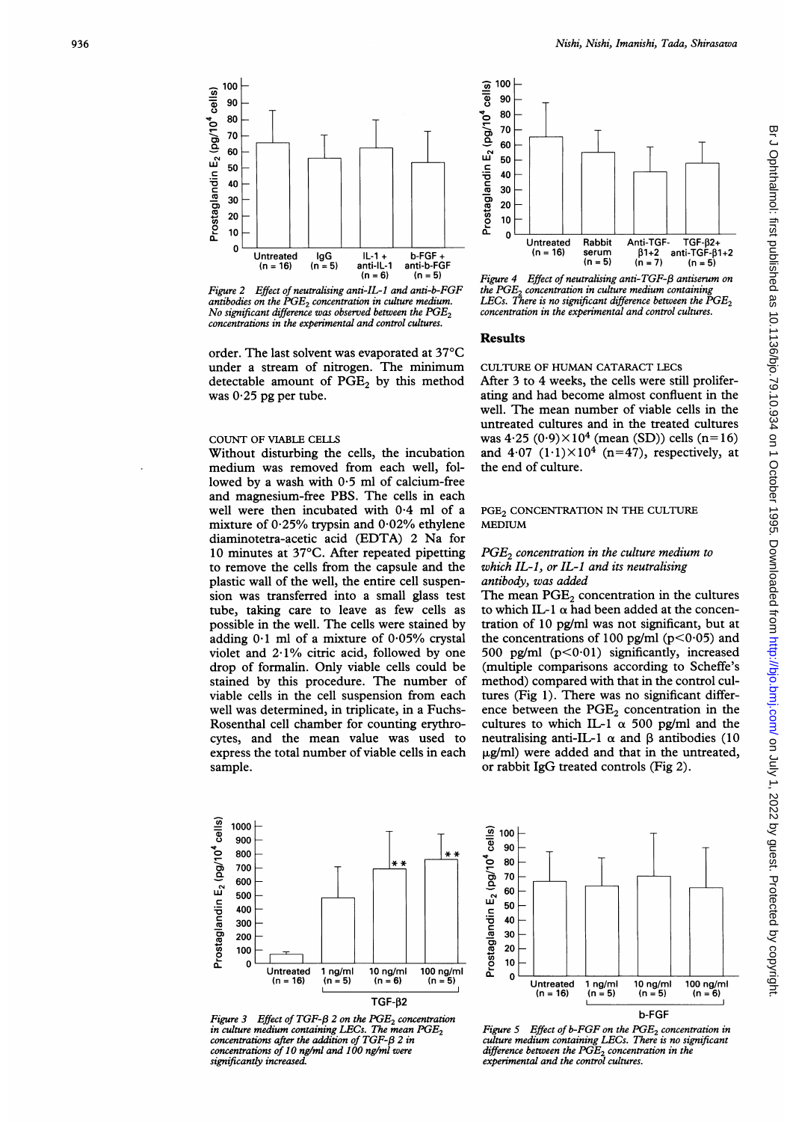

Figure 2 Effect of neutralising anti-IL-I and anti-b-FGF antibodies on the  $\overline{PGE_2}$  concentration in culture medium. No significant difference was observed between the  $PGE_2$ concentrations in the experimental and control cultures.

order. The last solvent was evaporated at 37°C under a stream of nitrogen. The minimum detectable amount of  $PGE<sub>2</sub>$  by this method was  $0.25$  pg per tube.

# COUNT OF VIABLE CELLS

Without disturbing the cells, the incubation medium was removed from each well, followed by a wash with  $0.5$  ml of calcium-free and magnesium-free PBS. The cells in each well were then incubated with 0 4 ml of a mixture of 0-25% trypsin and 0-02% ethylene diaminotetra-acetic acid (EDTA) 2 Na for 10 minutes at 37°C. After repeated pipetting to remove the cells from the capsule and the plastic wall of the well, the entire cell suspension was transferred into a small glass test tube, taking care to leave as few cells as possible in the well. The cells were stained by adding  $0.1$  ml of a mixture of  $0.05\%$  crystal violet and 2-1% citric acid, followed by one drop of formalin. Only viable cells could be stained by this procedure. The number of viable cells in the cell suspension from each well was determined, in triplicate, in a Fuchs-Rosenthal cell chamber for counting erythrocytes, and the mean value was used to express the total number of viable cells in each sample.



Figure 4 Effect of neutralising anti-TGF- $\beta$  antiserum on the  $PGE<sub>2</sub>$  concentration in culture medium containing LECs. There is no significant difference between the  $PGE$ concentration in the experimental and control cultures.

#### **Results**

#### CULTURE OF HUMAN CATARACT LECS

After 3 to 4 weeks, the cells were still proliferating and had become almost confluent in the well. The mean number of viable cells in the untreated cultures and in the treated cultures was  $4.25 (0.9) \times 10^4$  (mean (SD)) cells (n=16) and  $4.07$   $(1.1)\times10^4$   $(n=47)$ , respectively, at the end of culture.

# PGE<sub>2</sub> CONCENTRATION IN THE CULTURE MEDIUM

## $PGE<sub>2</sub>$  concentration in the culture medium to which IL-1, or IL-1 and its neutralising antibody, was added

The mean  $PGE<sub>2</sub>$  concentration in the cultures to which IL-1  $\alpha$  had been added at the concentration of 10 pg/ml was not significant, but at the concentrations of 100 pg/ml ( $p < 0.05$ ) and 500 pg/ml  $(p<0.01)$  significantly, increased (multiple comparisons according to Scheffe's method) compared with that in the control cultures (Fig 1). There was no significant difference between the  $PGE<sub>2</sub>$  concentration in the cultures to which IL-1  $\alpha$  500 pg/ml and the neutralising anti-IL-1  $\alpha$  and  $\beta$  antibodies (10  $\mu$ g/ml) were added and that in the untreated, or rabbit IgG treated controls (Fig 2).



Figure 3 Effect of TGF- $\beta$  2 on the PGE<sub>2</sub> concentration in culture medium containing LECs. The mean  $PGE_2$ concentrations after the addition of  $TGF$ - $\beta$  2 in concentrations of 10 ng/ml and 100 ng/ml were significantly increased.



Figure 5 Effect of  $b$ -FGF on the  $PGE_2$  concentration in culture medium containing LECs. There is no significant difference between the  $PGE_2$  concentration in the experimental and the control cultures.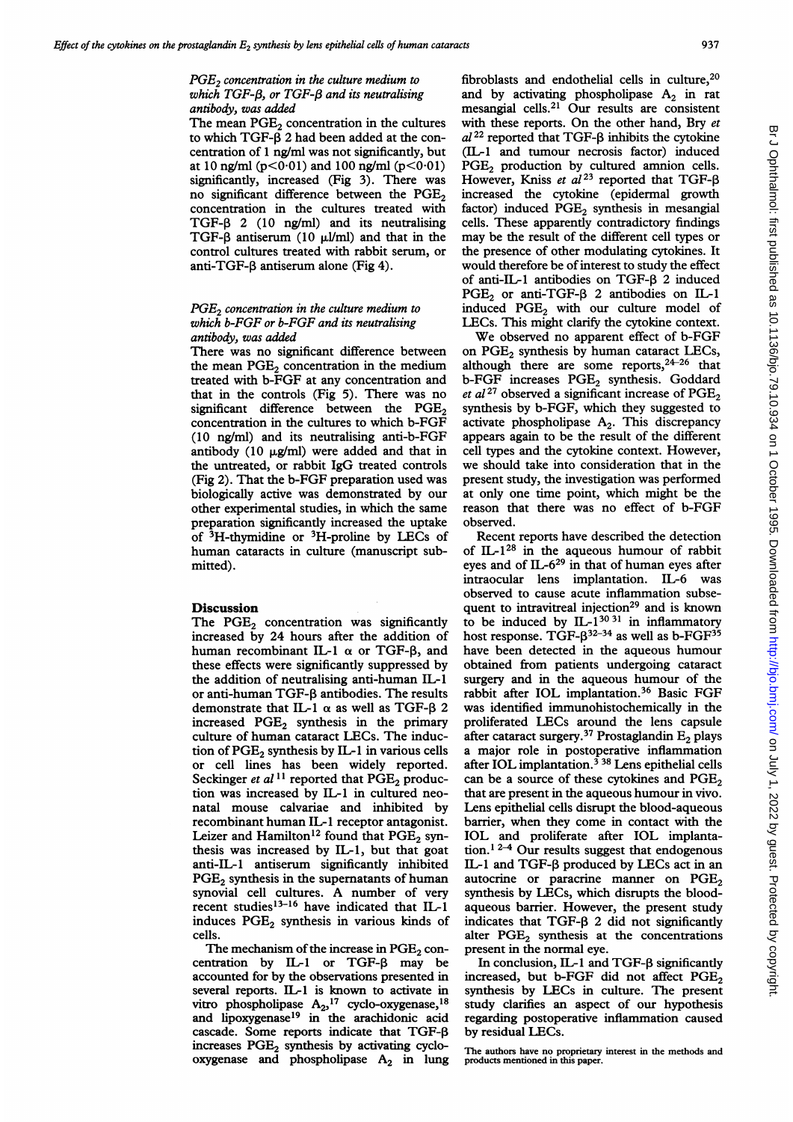# $PGE<sub>2</sub>$  concentration in the culture medium to which TGF- $\beta$ , or TGF- $\beta$  and its neutralising antibody, was added

The mean  $PGE<sub>2</sub>$  concentration in the cultures to which TGF- $\beta$  2 had been added at the concentration of <sup>1</sup> ng/ml was not significantly, but at 10 ng/ml ( $p < 0.01$ ) and 100 ng/ml ( $p < 0.01$ ) significantly, increased (Fig 3). There was no significant difference between the  $PGE<sub>2</sub>$ concentration in the cultures treated with  $TGF- $\beta$  2 (10 ng/ml) and its neutralising$ TGF- $\beta$  antiserum (10  $\mu$ l/ml) and that in the control cultures treated with rabbit serum, or anti-TGF- $\beta$  antiserum alone (Fig 4).

## $PGE<sub>2</sub>$  concentration in the culture medium to which b-FGF or b-FGF and its neutralising antibody, was added

There was no significant difference between the mean  $PGE<sub>2</sub>$  concentration in the medium treated with b-FGF at any concentration and that in the controls (Fig 5). There was no significant difference between the  $PGE<sub>2</sub>$ concentration in the cultures to which b-FGF (10 ng/ml) and its neutralising anti-b-FGF antibody (10  $\mu$ g/ml) were added and that in the untreated, or rabbit IgG treated controls (Fig 2). That the b-FGF preparation used was biologically active was demonstrated by our other experimental studies, in which the same preparation significantly increased the uptake of  ${}^{3}$ H-thymidine or  ${}^{3}$ H-proline by LECs of human cataracts in culture (manuscript submitted).

### **Discussion**

The  $PGE_2$  concentration was significantly increased by 24 hours after the addition of human recombinant IL-1  $\alpha$  or TGF-8, and these effects were significantly suppressed by the addition of neutralising anti-human IL-1 or anti-human TGF- $\beta$  antibodies. The results demonstrate that IL-1  $\alpha$  as well as TGF- $\beta$  2 increased PGE<sub>2</sub> synthesis in the primary culture of human cataract LECs. The induction of  $PGE_2$  synthesis by IL-1 in various cells or cell lines has been widely reported. Seckinger et al<sup>11</sup> reported that  $\tilde{PGE}_2$  production was increased by IL-1 in cultured neonatal mouse calvariae and inhibited by recombinant human IL-I receptor antagonist. Leizer and Hamilton<sup>12</sup> found that  $PGE_2$  synthesis was increased by IL-1, but that goat anti-IL-i antiserum significantly inhibited PGE<sub>2</sub> synthesis in the supernatants of human synovial cell cultures. A number of very recent studies $^{13-16}$  have indicated that IL-1 induces  $PGE_2$  synthesis in various kinds of cells.

The mechanism of the increase in  $PGE_2$  concentration by  $IL-1$  or TGF- $\beta$  may be accounted for by the observations presented in several reports. IL-1 is known to activate in vitro phospholipase  $A_{2}$ ,<sup>17</sup> cyclo-oxygenase,<sup>18</sup> and lipoxygenase<sup>19</sup> in the arachidonic acid cascade. Some reports indicate that  $TGF-B$ increases  $PGE<sub>2</sub>$  synthesis by activating cyclooxygenase and phospholipase  $A_2$  in lung

fibroblasts and endothelial cells in culture, $20$ and by activating phospholipase  $A_2$  in rat mesangial cells.2' Our results are consistent with these reports. On the other hand, Bry et  $al^{22}$  reported that TGF- $\beta$  inhibits the cytokine (IL-1 and tumour necrosis factor) induced  $PGE<sub>2</sub>$  production by cultured amnion cells. However, Kniss et al<sup>23</sup> reported that TGFincreased the cytokine (epidermal growth factor) induced  $PGE<sub>2</sub>$  synthesis in mesangial cells. These apparently contradictory findings may be the result of the different cell types or the presence of other modulating cytokines. It would therefore be of interest to study the effect of anti-IL-1 antibodies on TGF- $\beta$  2 induced  $PGE_2$  or anti-TGF- $\beta$  2 antibodies on IL-1 induced  $PGE_2$  with our culture model of LECs. This might clarify the cytokine context.

We observed no apparent effect of b-FGF on PGE<sub>2</sub> synthesis by human cataract LECs, although there are some reports, $24-26$  that b-FGF increases  $PGE_2$  synthesis. Goddard et al<sup>27</sup> observed a significant increase of  $PGE<sub>2</sub>$ synthesis by b-FGF, which they suggested to activate phospholipase  $A_2$ . This discrepancy appears again to be the result of the different cell types and the cytokine context. However, we should take into consideration that in the present study, the investigation was performed at only one time point, which might be the reason that there was no effect of b-FGF observed.

Recent reports have described the detection of IL- $1^{28}$  in the aqueous humour of rabbit eyes and of IL- $6^{29}$  in that of human eyes after intraocular lens implantation. IL-6 was observed to cause acute inflammation subsequent to intravitreal injection<sup>29</sup> and is known to be induced by IL- $1^{3031}$  in inflammatory host response. TGF- $\beta^{32-34}$  as well as b-FGF<sup>35</sup> have been detected in the aqueous humour obtained from patients undergoing cataract surgery and in the aqueous humour of the rabbit after IOL implantation.<sup>36</sup> Basic FGF was identified immunohistochemically in the proliferated LECs around the lens capsule after cataract surgery.<sup>37</sup> Prostaglandin  $E_2$  plays a major role in postoperative inflammation after IOL implantation.<sup> $338$ </sup> Lens epithelial cells can be a source of these cytokines and  $PGE<sub>2</sub>$ that are present in the aqueous humour in vivo. Lens epithelial cells disrupt the blood-aqueous barrier, when they come in contact with the IOL and proliferate after IOL implantation.<sup>12-4</sup> Our results suggest that endogenous IL-1 and TGF- $\beta$  produced by LECs act in an autocrine or paracrine manner on  $PGE<sub>2</sub>$ synthesis by LECs, which disrupts the bloodaqueous barrier. However, the present study indicates that TGF- $\beta$  2 did not significantly alter  $PGE<sub>2</sub>$  synthesis at the concentrations present in the normal eye.

In conclusion, IL-1 and TGF- $\beta$  significantly increased, but b-FGF did not affect  $PGE<sub>2</sub>$ synthesis by LECs in culture. The present study clarifies an aspect of our hypothesis regarding postoperative inflammation caused by residual LECs.

The authors have no proprietary interest in the methods and products mentioned in this paper.